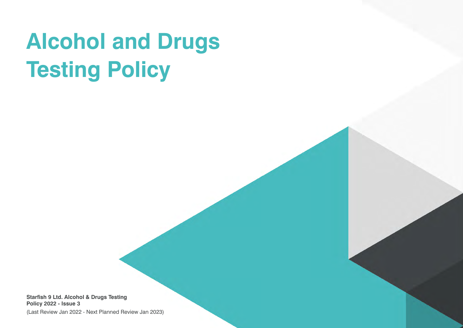# **Alcohol and Drugs Testing Policy**

**Starfish 9 Ltd. Alcohol & Drugs Testing Policy 2022 - Issue 3** (Last Review Jan 2022 - Next Planned Review Jan 2023)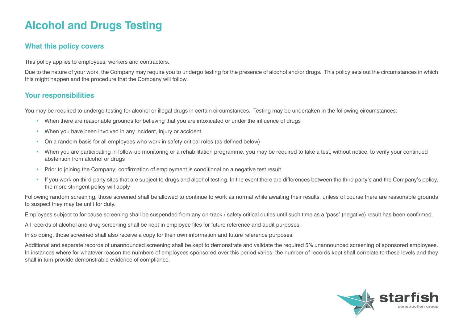## **Alcohol and Drugs Testing**

### **What this policy covers**

This policy applies to employees, workers and contractors.

Due to the nature of your work, the Company may require you to undergo testing for the presence of alcohol and/or drugs. This policy sets out the circumstances in which this might happen and the procedure that the Company will follow.

### **Your responsibilities**

You may be required to undergo testing for alcohol or illegal drugs in certain circumstances. Testing may be undertaken in the following circumstances:

- When there are reasonable grounds for believing that you are intoxicated or under the influence of drugs
- When you have been involved in any incident, injury or accident
- On a random basis for all employees who work in safety-critical roles (as defined below)
- When you are participating in follow-up monitoring or a rehabilitation programme, you may be required to take a test, without notice, to verify your continued abstention from alcohol or drugs
- Prior to joining the Company; confirmation of employment is conditional on a negative test result
- If you work on third-party sites that are subject to drugs and alcohol testing. In the event there are differences between the third party's and the Company's policy, the more stringent policy will apply

Following random screening, those screened shall be allowed to continue to work as normal while awaiting their results, unless of course there are reasonable grounds to suspect they may be unfit for duty.

Employees subject to for-cause screening shall be suspended from any on-track / safety critical duties until such time as a 'pass' (negative) result has been confirmed.

All records of alcohol and drug screening shall be kept in employee files for future reference and audit purposes.

In so doing, those screened shall also receive a copy for their own information and future reference purposes.

Additional and separate records of unannounced screening shall be kept to demonstrate and validate the required 5% unannounced screening of sponsored employees. In instances where for whatever reason the numbers of employees sponsored over this period varies, the number of records kept shall correlate to these levels and they shall in turn provide demonstrable evidence of compliance.